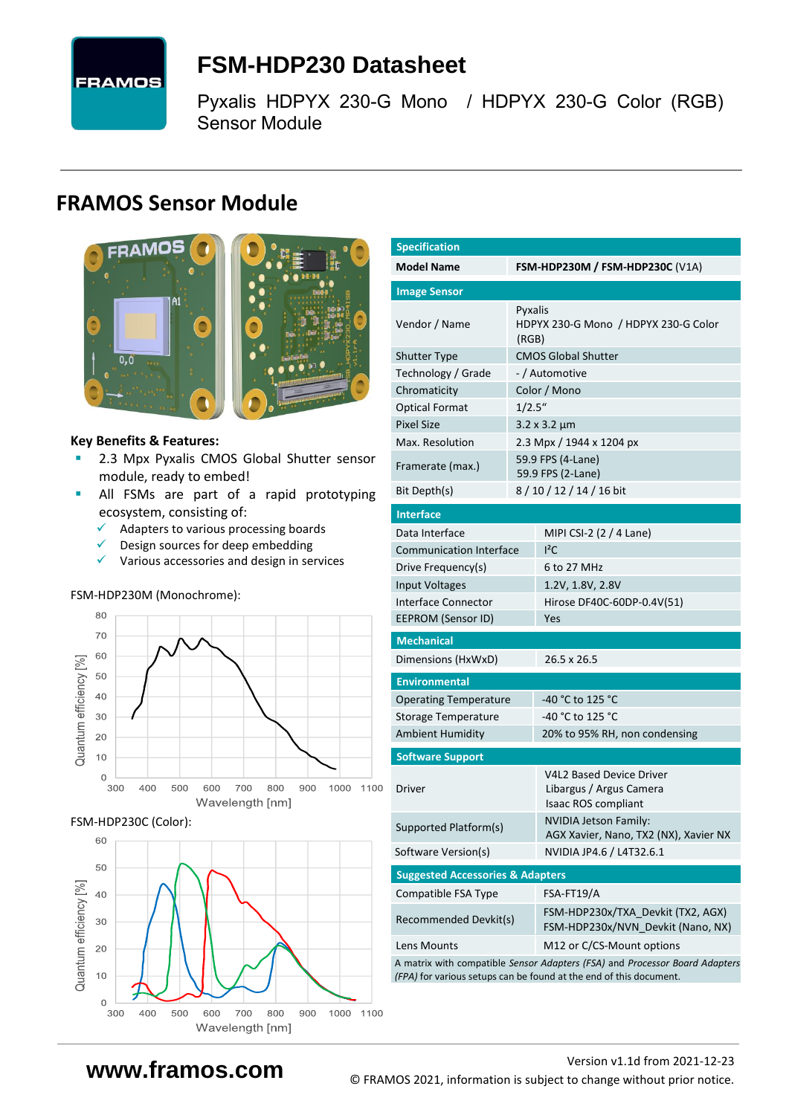

# <span id="page-0-7"></span>**FSM-HDP230 [Datasheet](#page-0-0)**

<span id="page-0-3"></span>[Pyxalis](#page-0-1) [HDPYX 230-G Mono / HDPYX 230-G Color \(RGB\)](#page-0-2) Sensor Module

## **FRAMOS Sensor Module**



#### **Key Benefits & Features:**

- [2.3](#page-0-4) Mpx [Pyxalis](#page-0-1) [CMOS Global Shutter](#page-0-5) sensor module, ready to embed!
- All FSMs are part of a rapid prototyping ecosystem, consisting of:
	- ✓ Adapters to various processing boards
	- $\checkmark$  Design sources for deep embedding
	- ✓ Various accessories and design in services

#### FSM-HDP230M (Monochrome):



FSM-HDP230C (Color):



<span id="page-0-6"></span><span id="page-0-5"></span><span id="page-0-4"></span><span id="page-0-2"></span><span id="page-0-1"></span><span id="page-0-0"></span>

| <b>Specification</b>                        |                                        |                                                                                                                                                   |  |  |  |
|---------------------------------------------|----------------------------------------|---------------------------------------------------------------------------------------------------------------------------------------------------|--|--|--|
| <b>Model Name</b>                           | <b>FSM-HDP230M / FSM-HDP230C (V1A)</b> |                                                                                                                                                   |  |  |  |
| <b>Image Sensor</b>                         |                                        |                                                                                                                                                   |  |  |  |
| Vendor / Name                               | Pyxalis<br>(RGB)                       | HDPYX 230-G Mono / HDPYX 230-G Color                                                                                                              |  |  |  |
| <b>Shutter Type</b>                         |                                        | <b>CMOS Global Shutter</b>                                                                                                                        |  |  |  |
| Technology / Grade                          |                                        | - / Automotive                                                                                                                                    |  |  |  |
| Chromaticity                                |                                        | Color / Mono                                                                                                                                      |  |  |  |
| <b>Optical Format</b>                       | 1/2.5''                                |                                                                                                                                                   |  |  |  |
| <b>Pixel Size</b>                           |                                        | $3.2 \times 3.2 \mu m$                                                                                                                            |  |  |  |
| Max. Resolution                             |                                        | 2.3 Mpx / 1944 x 1204 px                                                                                                                          |  |  |  |
| Framerate (max.)                            |                                        | 59.9 FPS (4-Lane)<br>59.9 FPS (2-Lane)                                                                                                            |  |  |  |
| Bit Depth(s)                                |                                        | 8/10/12/14/16 bit                                                                                                                                 |  |  |  |
| <b>Interface</b>                            |                                        |                                                                                                                                                   |  |  |  |
| Data Interface                              |                                        | MIPI CSI-2 (2 / 4 Lane)                                                                                                                           |  |  |  |
| <b>Communication Interface</b>              |                                        | ${}^{12}$ C                                                                                                                                       |  |  |  |
| Drive Frequency(s)                          |                                        | 6 to 27 MHz                                                                                                                                       |  |  |  |
| <b>Input Voltages</b>                       |                                        | 1.2V, 1.8V, 2.8V                                                                                                                                  |  |  |  |
| Interface Connector                         |                                        | Hirose DF40C-60DP-0.4V(51)                                                                                                                        |  |  |  |
| <b>EEPROM (Sensor ID)</b>                   |                                        | Yes                                                                                                                                               |  |  |  |
| <b>Mechanical</b>                           |                                        |                                                                                                                                                   |  |  |  |
| Dimensions (HxWxD)                          |                                        | 26.5 x 26.5                                                                                                                                       |  |  |  |
| <b>Environmental</b>                        |                                        |                                                                                                                                                   |  |  |  |
| <b>Operating Temperature</b>                |                                        | -40 °C to 125 °C                                                                                                                                  |  |  |  |
| Storage Temperature                         |                                        | -40 °C to 125 °C                                                                                                                                  |  |  |  |
| <b>Ambient Humidity</b>                     |                                        | 20% to 95% RH, non condensing                                                                                                                     |  |  |  |
| <b>Software Support</b>                     |                                        |                                                                                                                                                   |  |  |  |
| <b>Driver</b>                               |                                        | <b>V4L2 Based Device Driver</b><br>Libargus / Argus Camera<br>Isaac ROS compliant                                                                 |  |  |  |
| Supported Platform(s)                       |                                        | <b>NVIDIA Jetson Family:</b><br>AGX Xavier, Nano, TX2 (NX), Xavier NX                                                                             |  |  |  |
| Software Version(s)                         |                                        | NVIDIA JP4.6 / L4T32.6.1                                                                                                                          |  |  |  |
| <b>Suggested Accessories &amp; Adapters</b> |                                        |                                                                                                                                                   |  |  |  |
| Compatible FSA Type                         |                                        | FSA-FT19/A                                                                                                                                        |  |  |  |
| Recommended Devkit(s)                       |                                        | FSM-HDP230x/TXA_Devkit (TX2, AGX)<br>FSM-HDP230x/NVN_Devkit (Nano, NX)                                                                            |  |  |  |
| Lens Mounts                                 |                                        | M12 or C/CS-Mount options                                                                                                                         |  |  |  |
|                                             |                                        | A matrix with compatible Sensor Adapters (FSA) and Processor Board Adapters<br>(FPA) for various setups can be found at the end of this document. |  |  |  |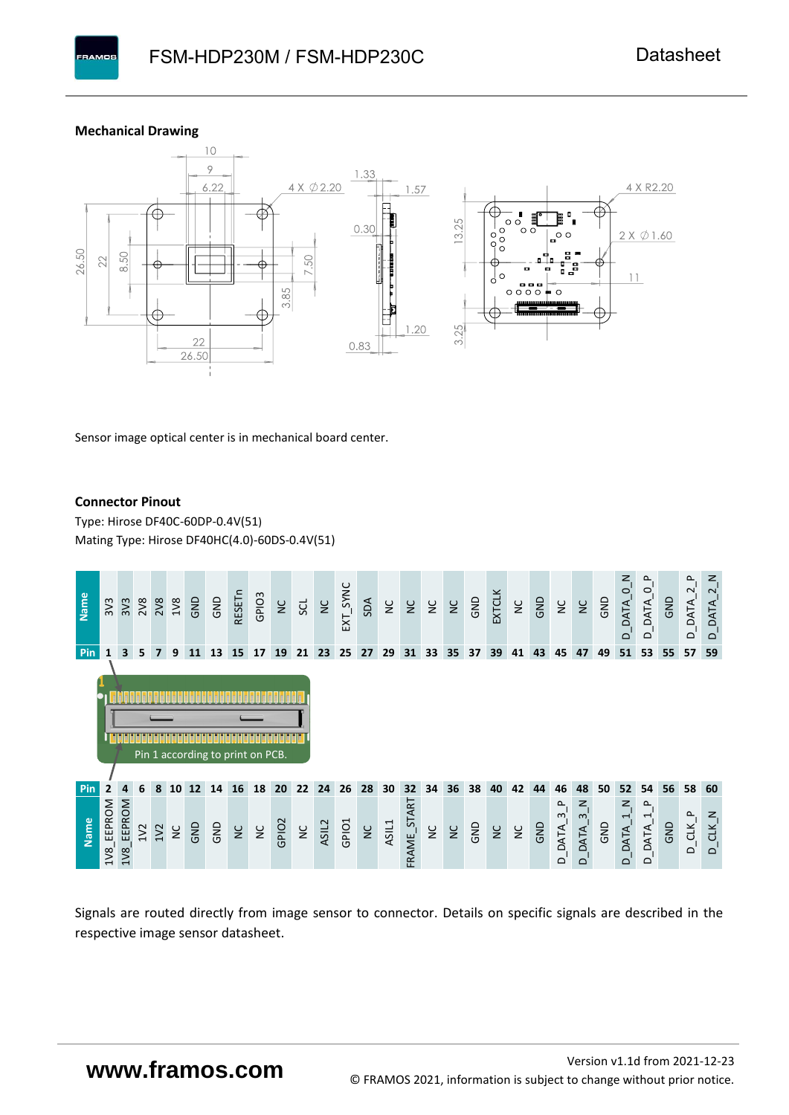#### **Mechanical Drawing**

**PAMOS** 



Sensor image optical center is in mechanical board center.

#### **Connector Pinout**

Type: [Hirose DF40C-60DP-0.4V\(51](#page-0-6)[\)](#page-0-6)  Mating Type: Hirose DF40HC(4.0)-60DS-0.4V(51)



Signals are routed directly from image sensor to connector. Details on specific signals are described in the respective image sensor datasheet.

# **www.framos.com**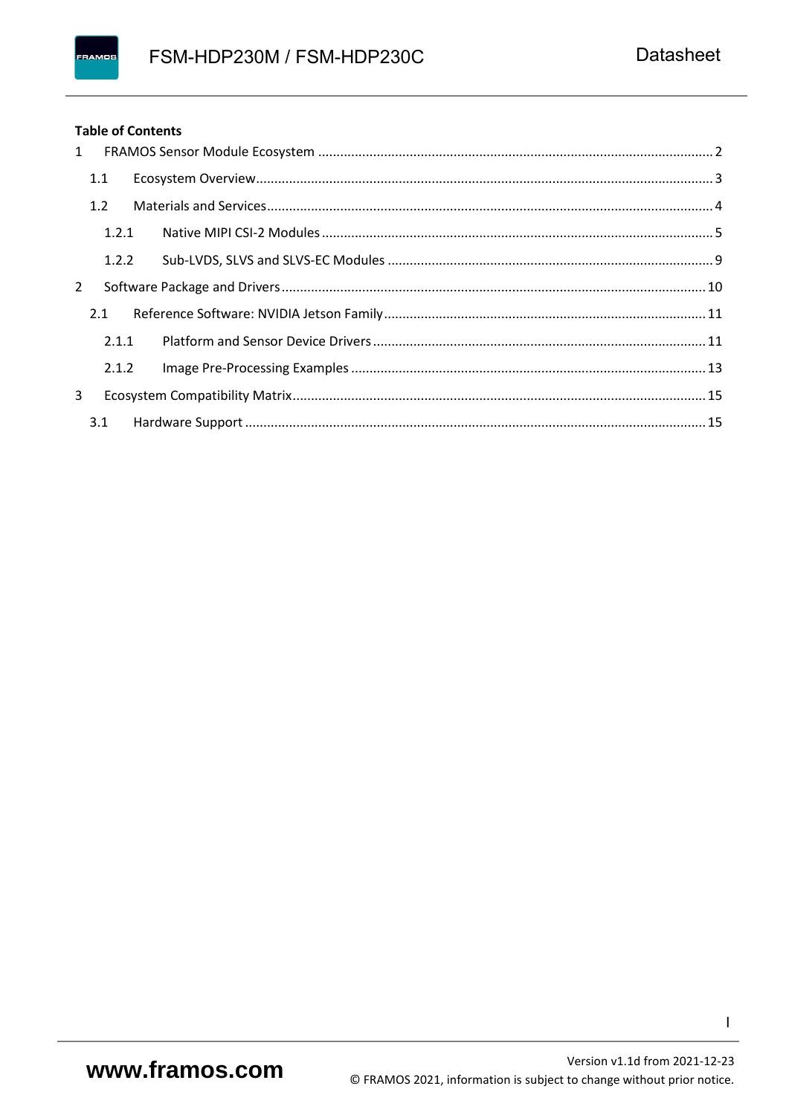#### FRAMOS

#### **Table of Contents**

| 1 |       |  |
|---|-------|--|
|   | 1.1   |  |
|   | 1.2   |  |
|   | 1.2.1 |  |
|   | 1.2.2 |  |
| 2 |       |  |
|   | 2.1   |  |
|   | 2.1.1 |  |
|   | 2.1.2 |  |
| 3 |       |  |
|   |       |  |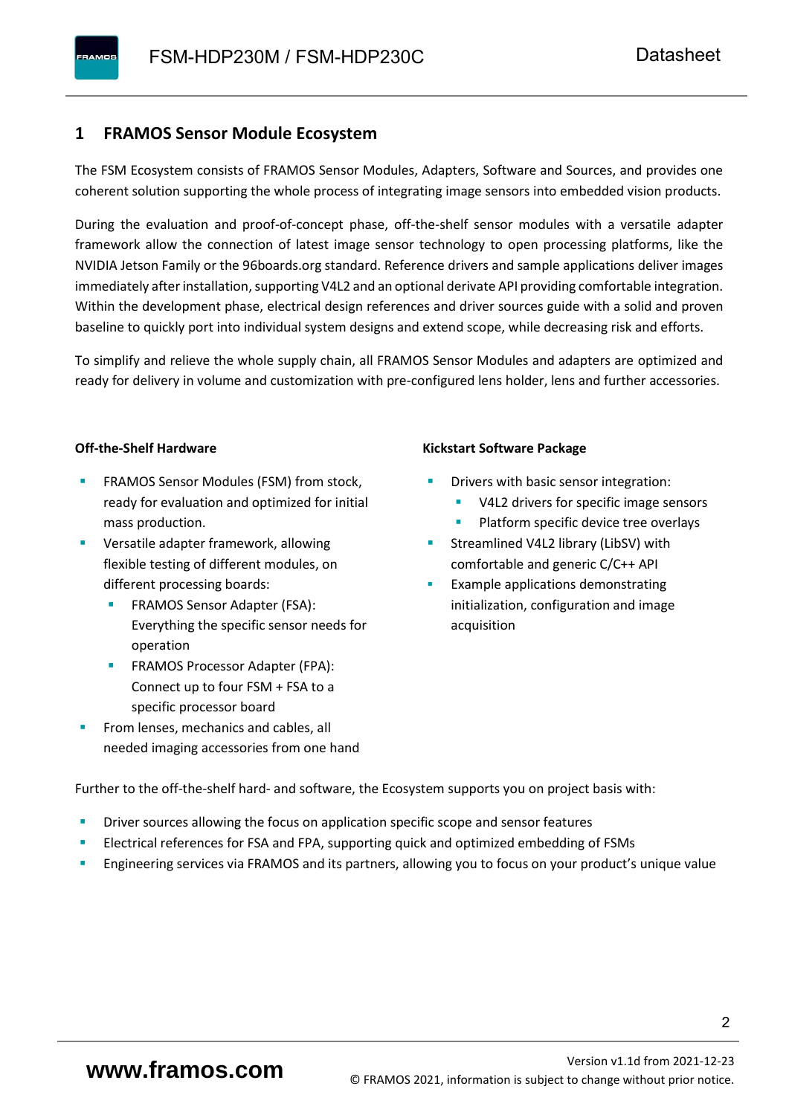#### <span id="page-3-0"></span>**1 FRAMOS Sensor Module Ecosystem**

The FSM Ecosystem consists of FRAMOS Sensor Modules, Adapters, Software and Sources, and provides one coherent solution supporting the whole process of integrating image sensors into embedded vision products.

During the evaluation and proof-of-concept phase, off-the-shelf sensor modules with a versatile adapter framework allow the connection of latest image sensor technology to open processing platforms, like the NVIDIA Jetson Family or the 96boards.org standard. Reference drivers and sample applications deliver images immediately after installation, supporting V4L2 and an optional derivate API providing comfortable integration. Within the development phase, electrical design references and driver sources guide with a solid and proven baseline to quickly port into individual system designs and extend scope, while decreasing risk and efforts.

To simplify and relieve the whole supply chain, all FRAMOS Sensor Modules and adapters are optimized and ready for delivery in volume and customization with pre-configured lens holder, lens and further accessories.

#### **Off-the-Shelf Hardware**

- FRAMOS Sensor Modules (FSM) from stock, ready for evaluation and optimized for initial mass production.
- Versatile adapter framework, allowing flexible testing of different modules, on different processing boards:
	- FRAMOS Sensor Adapter (FSA): Everything the specific sensor needs for operation
	- FRAMOS Processor Adapter (FPA): Connect up to four FSM + FSA to a specific processor board
- From lenses, mechanics and cables, all needed imaging accessories from one hand

#### **Kickstart Software Package**

- Drivers with basic sensor integration:
	- V4L2 drivers for specific image sensors
	- Platform specific device tree overlays
- Streamlined V4L2 library (LibSV) with comfortable and generic C/C++ API
- Example applications demonstrating initialization, configuration and image acquisition

Further to the off-the-shelf hard- and software, the Ecosystem supports you on project basis with:

- Driver sources allowing the focus on application specific scope and sensor features
- Electrical references for FSA and FPA, supporting quick and optimized embedding of FSMs
- Engineering services via FRAMOS and its partners, allowing you to focus on your product's unique value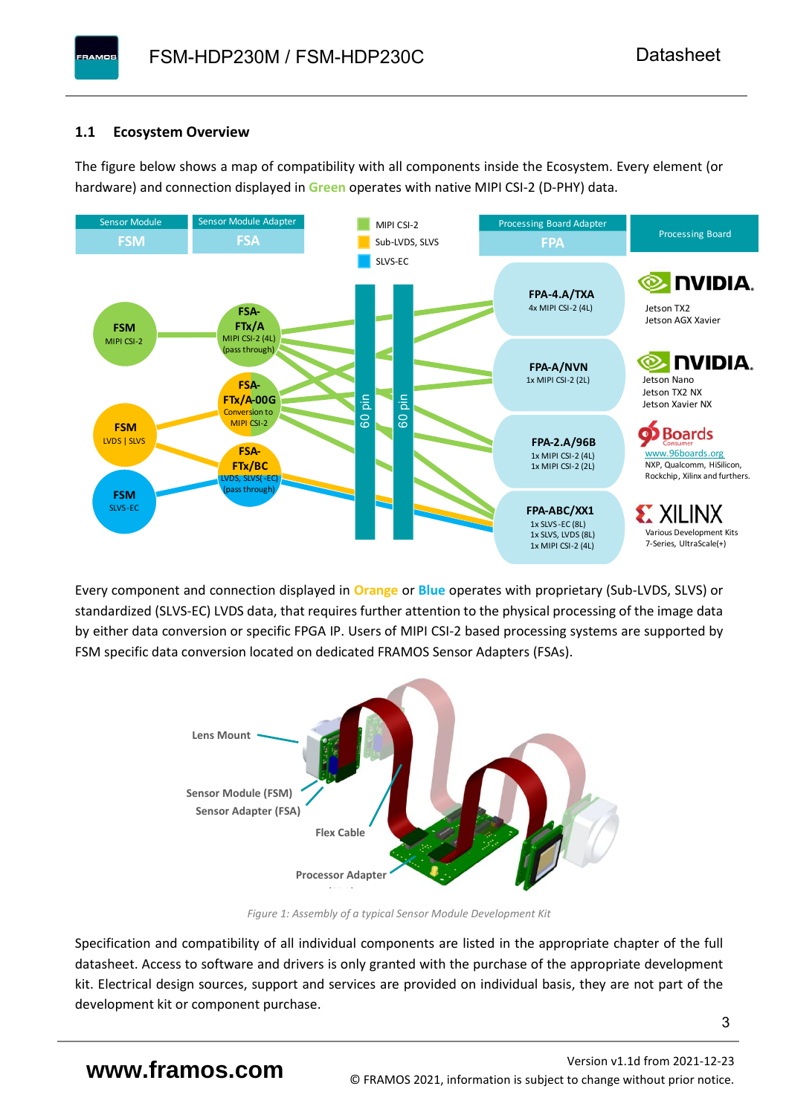#### <span id="page-4-0"></span>**1.1 Ecosystem Overview**

**PAMOS** 

The figure below shows a map of compatibility with all components inside the Ecosystem. Every element (or hardware) and connection displayed in **Green** operates with native MIPI CSI-2 (D-PHY) data.



Every component and connection displayed in **Orange** or **Blue** operates with proprietary (Sub-LVDS, SLVS) or standardized (SLVS-EC) LVDS data, that requires further attention to the physical processing of the image data by either data conversion or specific FPGA IP. Users of MIPI CSI-2 based processing systems are supported by FSM specific data conversion located on dedicated FRAMOS Sensor Adapters (FSAs).



*Figure 1: Assembly of a typical Sensor Module Development Kit*

Specification and compatibility of all individual components are listed in the appropriate chapter of the full datasheet. Access to software and drivers is only granted with the purchase of the appropriate development kit. Electrical design sources, support and services are provided on individual basis, they are not part of the development kit or component purchase.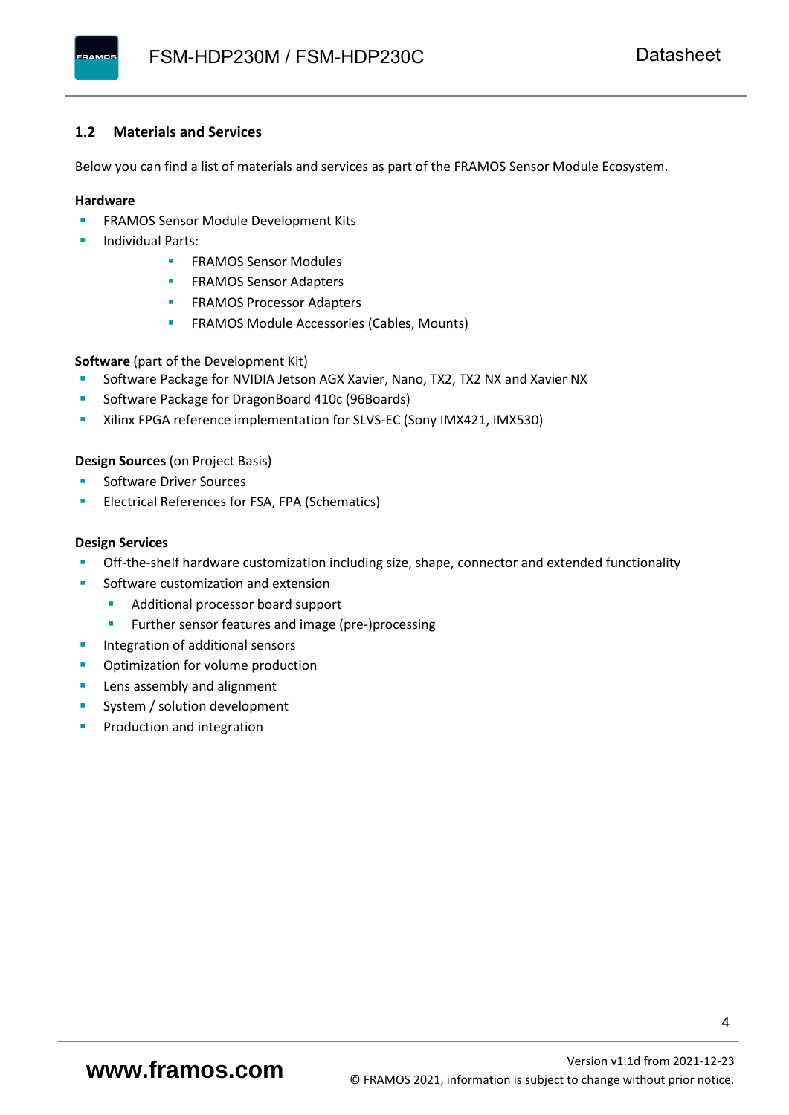#### <span id="page-5-0"></span>**1.2 Materials and Services**

Below you can find a list of materials and services as part of the FRAMOS Sensor Module Ecosystem.

#### **Hardware**

- **EXECTED FRAMOS Sensor Module Development Kits**
- **Individual Parts:** 
	- FRAMOS Sensor Modules
	- **FRAMOS Sensor Adapters**
	- **EXAMOS Processor Adapters**
	- **EXECTED** FRAMOS Module Accessories (Cables, Mounts)

**Software** (part of the Development Kit)

- Software Package for NVIDIA Jetson AGX Xavier, Nano, TX2, TX2 NX and Xavier NX
- Software Package for DragonBoard 410c (96Boards)
- **E** Xilinx FPGA reference implementation for SLVS-EC (Sony IMX421, IMX530)

#### **Design Sources** (on Project Basis)

- Software Driver Sources
- Electrical References for FSA, FPA (Schematics)

#### **Design Services**

- Off-the-shelf hardware customization including size, shape, connector and extended functionality
- Software customization and extension
	- Additional processor board support
	- Further sensor features and image (pre-)processing
- **■** Integration of additional sensors
- Optimization for volume production
- Lens assembly and alignment
- System / solution development
- Production and integration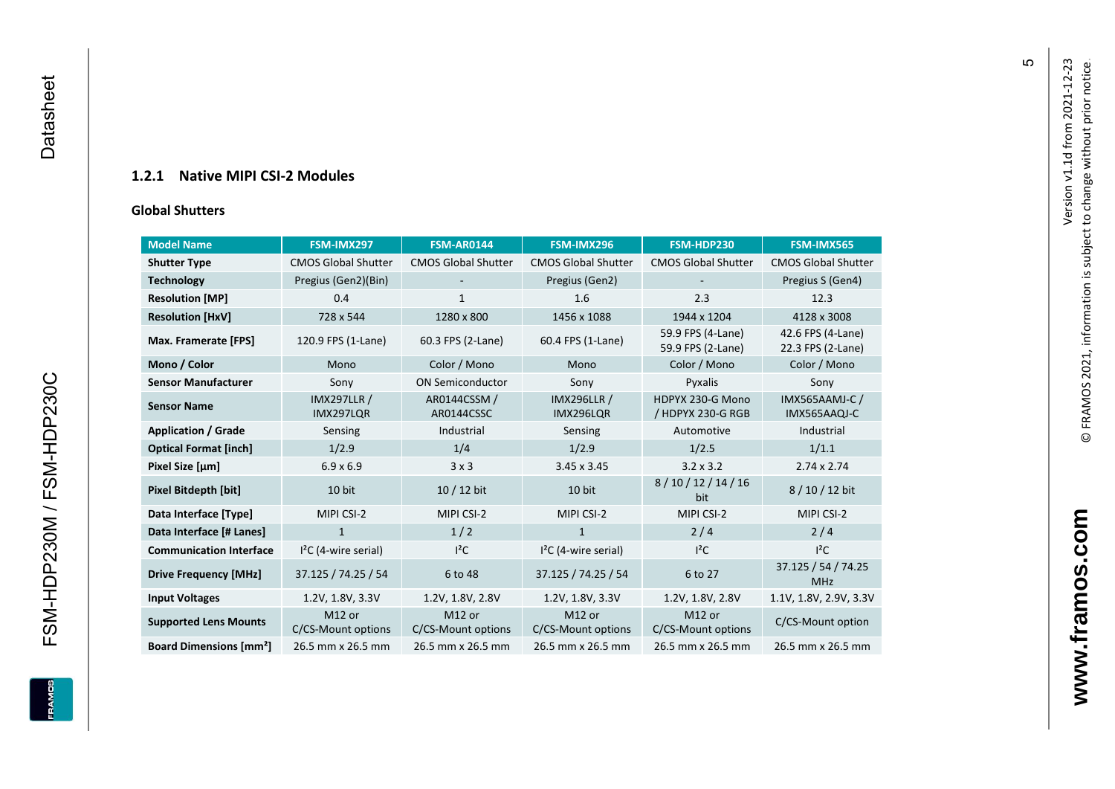#### **1.2.1 Native MIPI CSI - 2 Modules**

#### **[Global Shu](#page-0-7)tters**

<span id="page-6-0"></span>

| <b>Model Name</b>                        | FSM-IMX297                      | <b>FSM-AR0144</b>            | FSM-IMX296                      | FSM-HDP230                             | FSM-IMX565                             |
|------------------------------------------|---------------------------------|------------------------------|---------------------------------|----------------------------------------|----------------------------------------|
|                                          |                                 |                              |                                 |                                        |                                        |
| <b>Shutter Type</b>                      | <b>CMOS Global Shutter</b>      | <b>CMOS Global Shutter</b>   | <b>CMOS Global Shutter</b>      | <b>CMOS Global Shutter</b>             | <b>CMOS Global Shutter</b>             |
| <b>Technology</b>                        | Pregius (Gen2)(Bin)             |                              | Pregius (Gen2)                  |                                        | Pregius S (Gen4)                       |
| <b>Resolution [MP]</b>                   | 0.4                             | 1                            | 1.6                             | 2.3                                    | 12.3                                   |
| <b>Resolution [HxV]</b>                  | 728 x 544                       | 1280 x 800                   | 1456 x 1088                     | 1944 x 1204                            | 4128 x 3008                            |
| Max. Framerate [FPS]                     | 120.9 FPS (1-Lane)              | 60.3 FPS (2-Lane)            | 60.4 FPS (1-Lane)               | 59.9 FPS (4-Lane)<br>59.9 FPS (2-Lane) | 42.6 FPS (4-Lane)<br>22.3 FPS (2-Lane) |
| Mono / Color                             | Mono                            | Color / Mono                 | Mono                            | Color / Mono                           | Color / Mono                           |
| <b>Sensor Manufacturer</b>               | Sony                            | <b>ON Semiconductor</b>      | Sony                            | Pyxalis                                | Sony                                   |
| <b>Sensor Name</b>                       | <b>IMX297LLR /</b><br>IMX297LQR | AR0144CSSM /<br>AR0144CSSC   | <b>IMX296LLR /</b><br>IMX296LQR | HDPYX 230-G Mono<br>/ HDPYX 230-G RGB  | <b>IMX565AAMJ-C/</b><br>IMX565AAQJ-C   |
| <b>Application / Grade</b>               | Sensing                         | Industrial                   | Sensing                         | Automotive                             | Industrial                             |
| <b>Optical Format [inch]</b>             | 1/2.9                           | 1/4                          | 1/2.9                           | 1/2.5                                  | 1/1.1                                  |
| Pixel Size [µm]                          | $6.9 \times 6.9$                | 3x3                          | 3.45 x 3.45                     | $3.2 \times 3.2$                       | $2.74 \times 2.74$                     |
| Pixel Bitdepth [bit]                     | 10 bit                          | $10/12$ bit                  | 10 bit                          | 8/10/12/14/16<br>bit                   | 8/10/12 bit                            |
| Data Interface [Type]                    | MIPI CSI-2                      | MIPI CSI-2                   | MIPI CSI-2                      | MIPI CSI-2                             | MIPI CSI-2                             |
| Data Interface [# Lanes]                 | $\mathbf{1}$                    | 1/2                          | $\mathbf{1}$                    | 2/4                                    | 2/4                                    |
| <b>Communication Interface</b>           | $I2C$ (4-wire serial)           | $l^2C$                       | $I2C$ (4-wire serial)           | $l^2C$                                 | $I^2C$                                 |
| <b>Drive Frequency [MHz]</b>             | 37.125 / 74.25 / 54             | 6 to 48                      | 37.125 / 74.25 / 54             | 6 to 27                                | 37.125 / 54 / 74.25<br><b>MHz</b>      |
| <b>Input Voltages</b>                    | 1.2V, 1.8V, 3.3V                | 1.2V, 1.8V, 2.8V             | 1.2V, 1.8V, 3.3V                | 1.2V, 1.8V, 2.8V                       | 1.1V, 1.8V, 2.9V, 3.3V                 |
| <b>Supported Lens Mounts</b>             | M12 or<br>C/CS-Mount options    | M12 or<br>C/CS-Mount options | M12 or<br>C/CS-Mount options    | M12 or<br>C/CS-Mount options           | C/CS-Mount option                      |
| <b>Board Dimensions [mm<sup>2</sup>]</b> | 26.5 mm x 26.5 mm               | 26.5 mm x 26.5 mm            | 26.5 mm x 26.5 mm               | 26.5 mm x 26.5 mm                      | 26.5 mm x 26.5 mm                      |

Version v1.1d from 2021-12-23

Version v1.1d from 2021-12-23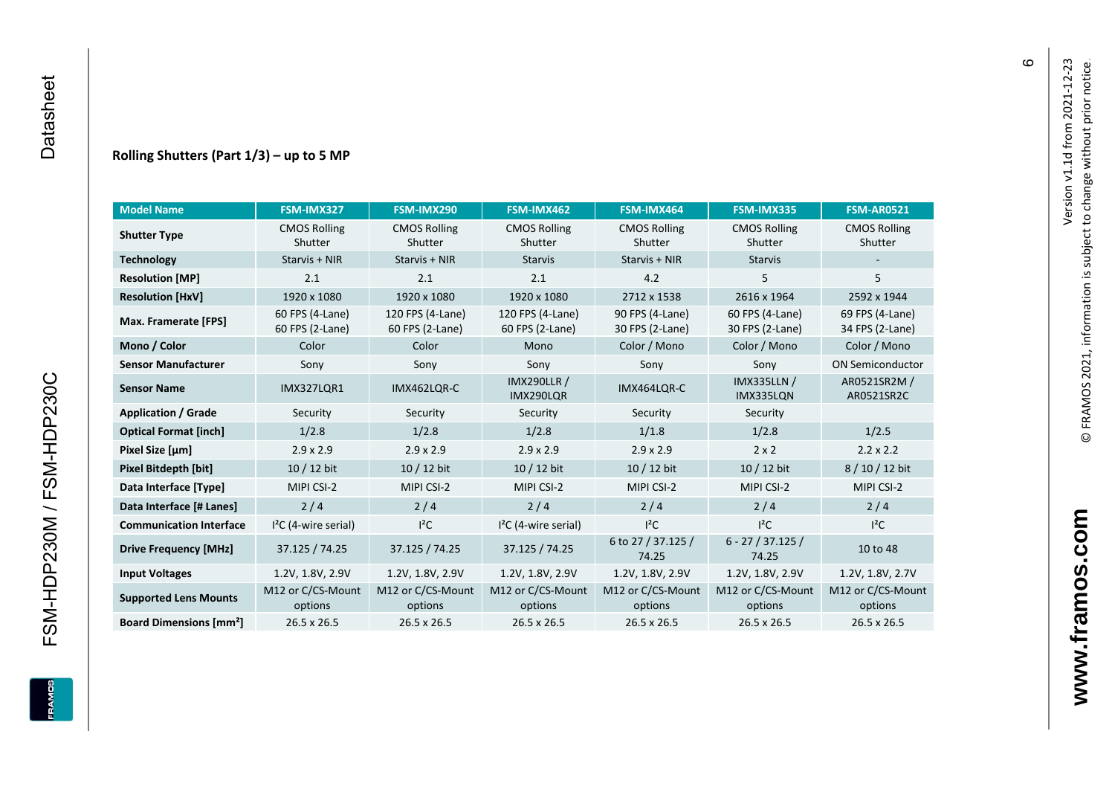#### **Rolling Shutters (Part 1/ 3 ) – up to 5 MP**

| <b>Model Name</b>                        | FSM-IMX327                         | FSM-IMX290                          | FSM-IMX462                          | FSM-IMX464                         | FSM-IMX335                         | <b>FSM-AR0521</b>                  |
|------------------------------------------|------------------------------------|-------------------------------------|-------------------------------------|------------------------------------|------------------------------------|------------------------------------|
| <b>Shutter Type</b>                      | <b>CMOS Rolling</b><br>Shutter     | <b>CMOS Rolling</b><br>Shutter      | <b>CMOS Rolling</b><br>Shutter      | <b>CMOS Rolling</b><br>Shutter     | <b>CMOS Rolling</b><br>Shutter     | <b>CMOS Rolling</b><br>Shutter     |
| <b>Technology</b>                        | Starvis + NIR                      | Starvis + NIR                       | <b>Starvis</b>                      | Starvis + NIR                      | <b>Starvis</b>                     |                                    |
| <b>Resolution [MP]</b>                   | 2.1                                | 2.1                                 | 2.1                                 | 4.2                                | 5                                  | 5                                  |
| <b>Resolution [HxV]</b>                  | 1920 x 1080                        | 1920 x 1080                         | 1920 x 1080                         | 2712 x 1538                        | 2616 x 1964                        | 2592 x 1944                        |
| Max. Framerate [FPS]                     | 60 FPS (4-Lane)<br>60 FPS (2-Lane) | 120 FPS (4-Lane)<br>60 FPS (2-Lane) | 120 FPS (4-Lane)<br>60 FPS (2-Lane) | 90 FPS (4-Lane)<br>30 FPS (2-Lane) | 60 FPS (4-Lane)<br>30 FPS (2-Lane) | 69 FPS (4-Lane)<br>34 FPS (2-Lane) |
| Mono / Color                             | Color                              | Color                               | Mono                                | Color / Mono                       | Color / Mono                       | Color / Mono                       |
| <b>Sensor Manufacturer</b>               | Sony                               | Sony                                | Sony                                | Sony                               | Sony                               | <b>ON Semiconductor</b>            |
| <b>Sensor Name</b>                       | <b>IMX327LQR1</b>                  | IMX462LQR-C                         | <b>IMX290LLR /</b><br>IMX290LQR     | IMX464LQR-C                        | <b>IMX335LLN /</b><br>IMX335LON    | AR0521SR2M /<br>AR0521SR2C         |
| <b>Application / Grade</b>               | Security                           | Security                            | Security                            | Security                           | Security                           |                                    |
| <b>Optical Format [inch]</b>             | 1/2.8                              | 1/2.8                               | 1/2.8                               | 1/1.8                              | 1/2.8                              | 1/2.5                              |
| Pixel Size [µm]                          | $2.9 \times 2.9$                   | $2.9 \times 2.9$                    | $2.9 \times 2.9$                    | $2.9 \times 2.9$                   | $2 \times 2$                       | $2.2 \times 2.2$                   |
| <b>Pixel Bitdepth [bit]</b>              | $10/12$ bit                        | 10 / 12 bit                         | $10/12$ bit                         | $10/12$ bit                        | $10/12$ bit                        | 8/10/12 bit                        |
| Data Interface [Type]                    | MIPI CSI-2                         | MIPI CSI-2                          | MIPI CSI-2                          | MIPI CSI-2                         | MIPI CSI-2                         | MIPI CSI-2                         |
| Data Interface [# Lanes]                 | 2/4                                | 2/4                                 | 2/4                                 | 2/4                                | 2/4                                | 2/4                                |
| <b>Communication Interface</b>           | $I2C$ (4-wire serial)              | $I^2C$                              | $I2C$ (4-wire serial)               | $I^2C$                             | $I^2C$                             | $I^2C$                             |
| <b>Drive Frequency [MHz]</b>             | 37.125 / 74.25                     | 37.125 / 74.25                      | 37.125 / 74.25                      | 6 to 27 / 37.125 /<br>74.25        | $6 - 27 / 37.125 /$<br>74.25       | 10 to 48                           |
| <b>Input Voltages</b>                    | 1.2V, 1.8V, 2.9V                   | 1.2V, 1.8V, 2.9V                    | 1.2V, 1.8V, 2.9V                    | 1.2V, 1.8V, 2.9V                   | 1.2V, 1.8V, 2.9V                   | 1.2V, 1.8V, 2.7V                   |
| <b>Supported Lens Mounts</b>             | M12 or C/CS-Mount<br>options       | M12 or C/CS-Mount<br>options        | M12 or C/CS-Mount<br>options        | M12 or C/CS-Mount<br>options       | M12 or C/CS-Mount<br>options       | M12 or C/CS-Mount<br>options       |
| <b>Board Dimensions [mm<sup>2</sup>]</b> | 26.5 x 26.5                        | 26.5 x 26.5                         | 26.5 x 26.5                         | 26.5 x 26.5                        | $26.5 \times 26.5$                 | 26.5 x 26.5                        |

 $\pmb{\circ}$ 

FSM-HDP230M / FSM-HDP230C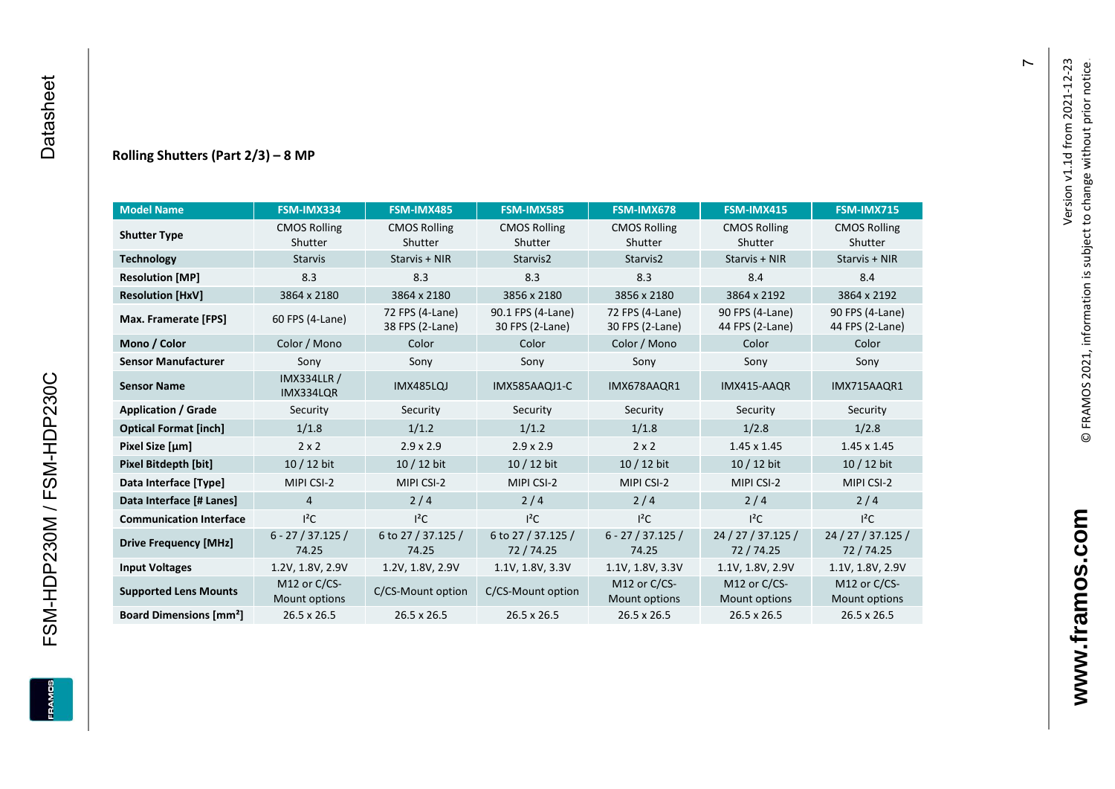#### **Rolling Shutters (Part 2/ 3 ) – 8 MP**

| <b>Model Name</b>                        | FSM-IMX334                      | FSM-IMX485                         | <b>FSM-IMX585</b>                    | FSM-IMX678                         | FSM-IMX415                         | FSM-IMX715                         |
|------------------------------------------|---------------------------------|------------------------------------|--------------------------------------|------------------------------------|------------------------------------|------------------------------------|
| <b>Shutter Type</b>                      | <b>CMOS Rolling</b><br>Shutter  | <b>CMOS Rolling</b><br>Shutter     | <b>CMOS Rolling</b><br>Shutter       | <b>CMOS Rolling</b><br>Shutter     | <b>CMOS Rolling</b><br>Shutter     | <b>CMOS Rolling</b><br>Shutter     |
| <b>Technology</b>                        | <b>Starvis</b>                  | Starvis + NIR                      | Starvis2                             | Starvis2                           | Starvis + NIR                      | Starvis + NIR                      |
| <b>Resolution [MP]</b>                   | 8.3                             | 8.3                                | 8.3                                  | 8.3                                | 8.4                                | 8.4                                |
| <b>Resolution [HxV]</b>                  | 3864 x 2180                     | 3864 x 2180                        | 3856 x 2180                          | 3856 x 2180                        | 3864 x 2192                        | 3864 x 2192                        |
| Max. Framerate [FPS]                     | 60 FPS (4-Lane)                 | 72 FPS (4-Lane)<br>38 FPS (2-Lane) | 90.1 FPS (4-Lane)<br>30 FPS (2-Lane) | 72 FPS (4-Lane)<br>30 FPS (2-Lane) | 90 FPS (4-Lane)<br>44 FPS (2-Lane) | 90 FPS (4-Lane)<br>44 FPS (2-Lane) |
| Mono / Color                             | Color / Mono                    | Color                              | Color                                | Color / Mono                       | Color                              | Color                              |
| <b>Sensor Manufacturer</b>               | Sony                            | Sony                               | Sony                                 | Sony                               | Sony                               | Sony                               |
| <b>Sensor Name</b>                       | <b>IMX334LLR /</b><br>IMX334LQR | IMX485LQJ                          | IMX585AAQJ1-C                        | IMX678AAQR1                        | IMX415-AAQR                        | IMX715AAQR1                        |
| <b>Application / Grade</b>               | Security                        | Security                           | Security                             | Security                           | Security                           | Security                           |
| <b>Optical Format [inch]</b>             | 1/1.8                           | 1/1.2                              | 1/1.2                                | 1/1.8                              | 1/2.8                              | 1/2.8                              |
| Pixel Size [µm]                          | $2 \times 2$                    | $2.9 \times 2.9$                   | $2.9 \times 2.9$                     | $2 \times 2$                       | $1.45 \times 1.45$                 | $1.45 \times 1.45$                 |
| <b>Pixel Bitdepth [bit]</b>              | 10 / 12 bit                     | 10 / 12 bit                        | 10 / 12 bit                          | 10 / 12 bit                        | 10 / 12 bit                        | 10 / 12 bit                        |
| Data Interface [Type]                    | MIPI CSI-2                      | MIPI CSI-2                         | MIPI CSI-2                           | MIPI CSI-2                         | MIPI CSI-2                         | MIPI CSI-2                         |
| Data Interface [# Lanes]                 | $\overline{4}$                  | 2/4                                | 2/4                                  | 2/4                                | 2/4                                | 2/4                                |
| <b>Communication Interface</b>           | $l^2C$                          | $l^2C$                             | $l^2C$                               | $l^2C$                             | $l^2C$                             | $I^2C$                             |
| <b>Drive Frequency [MHz]</b>             | $6 - 27 / 37.125 /$<br>74.25    | 6 to 27 / 37.125 /<br>74.25        | 6 to 27 / 37.125 /<br>72/74.25       | $6 - 27 / 37.125 /$<br>74.25       | 24 / 27 / 37.125 /<br>72/74.25     | 24 / 27 / 37.125 /<br>72/74.25     |
| <b>Input Voltages</b>                    | 1.2V, 1.8V, 2.9V                | 1.2V, 1.8V, 2.9V                   | 1.1V, 1.8V, 3.3V                     | 1.1V, 1.8V, 3.3V                   | 1.1V, 1.8V, 2.9V                   | 1.1V, 1.8V, 2.9V                   |
| <b>Supported Lens Mounts</b>             | M12 or C/CS-<br>Mount options   | C/CS-Mount option                  | C/CS-Mount option                    | M12 or C/CS-<br>Mount options      | M12 or C/CS-<br>Mount options      | M12 or C/CS-<br>Mount options      |
| <b>Board Dimensions [mm<sup>2</sup>]</b> | $26.5 \times 26.5$              | $26.5 \times 26.5$                 | 26.5 x 26.5                          | 26.5 x 26.5                        | 26.5 x 26.5                        | 26.5 x 26.5                        |

FSM-HDP230M / FSM-HDP230C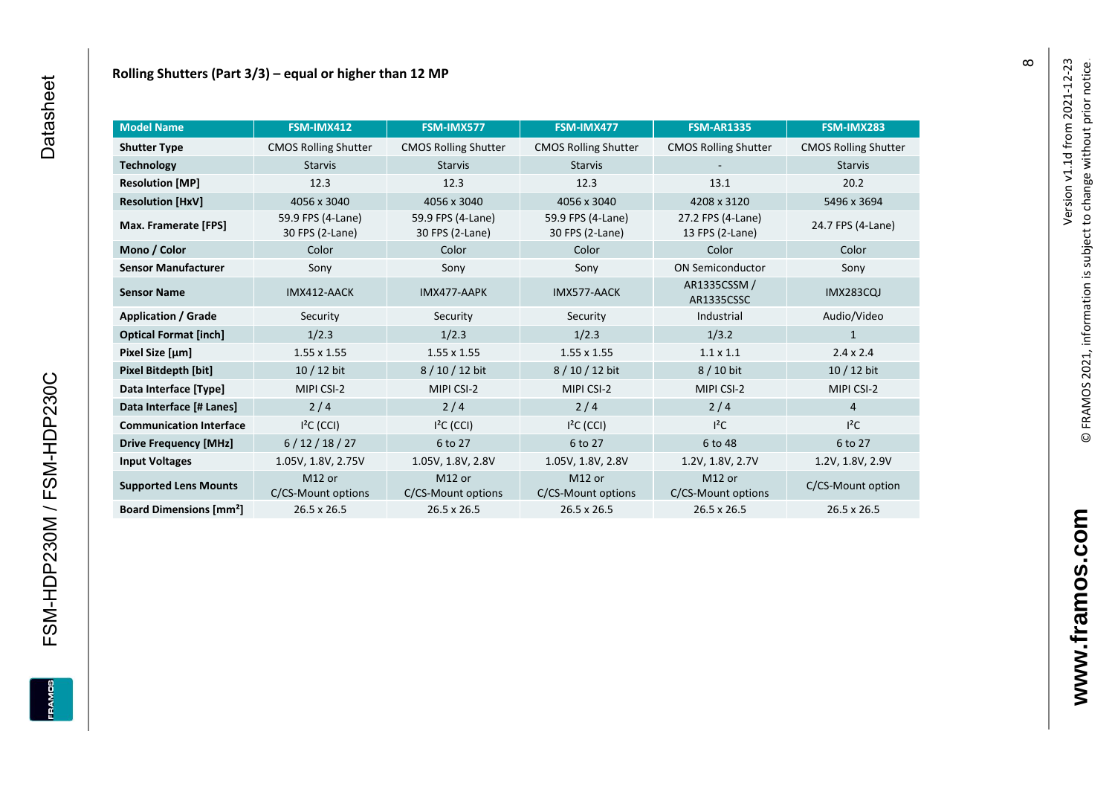| <b>Model Name</b>                        | FSM-IMX412                               | FSM-IMX577                               | FSM-IMX477                           | <b>FSM-AR1335</b>                    | FSM-IMX283                  |
|------------------------------------------|------------------------------------------|------------------------------------------|--------------------------------------|--------------------------------------|-----------------------------|
| <b>Shutter Type</b>                      | <b>CMOS Rolling Shutter</b>              | <b>CMOS Rolling Shutter</b>              | <b>CMOS Rolling Shutter</b>          | <b>CMOS Rolling Shutter</b>          | <b>CMOS Rolling Shutter</b> |
| <b>Technology</b>                        | <b>Starvis</b>                           | <b>Starvis</b>                           | <b>Starvis</b>                       |                                      | <b>Starvis</b>              |
| <b>Resolution [MP]</b>                   | 12.3                                     | 12.3                                     | 12.3                                 | 13.1                                 | 20.2                        |
| <b>Resolution [HxV]</b>                  | 4056 x 3040                              | 4056 x 3040                              | 4056 x 3040                          | 4208 x 3120                          | 5496 x 3694                 |
| Max. Framerate [FPS]                     | 59.9 FPS (4-Lane)<br>30 FPS (2-Lane)     | 59.9 FPS (4-Lane)<br>30 FPS (2-Lane)     | 59.9 FPS (4-Lane)<br>30 FPS (2-Lane) | 27.2 FPS (4-Lane)<br>13 FPS (2-Lane) | 24.7 FPS (4-Lane)           |
| Mono / Color                             | Color                                    | Color                                    | Color                                | Color                                | Color                       |
| <b>Sensor Manufacturer</b>               | Sony                                     | Sony                                     | Sony                                 | <b>ON Semiconductor</b>              | Sony                        |
| <b>Sensor Name</b>                       | IMX412-AACK                              | IMX477-AAPK                              | IMX577-AACK                          | AR1335CSSM /<br>AR1335CSSC           | <b>IMX283CQJ</b>            |
| <b>Application / Grade</b>               | Security                                 | Security                                 | Security                             | Industrial                           | Audio/Video                 |
| <b>Optical Format [inch]</b>             | 1/2.3                                    | 1/2.3                                    | 1/2.3                                | 1/3.2                                | 1                           |
| Pixel Size [µm]                          | $1.55 \times 1.55$                       | $1.55 \times 1.55$                       | $1.55 \times 1.55$                   | $1.1 \times 1.1$                     | $2.4 \times 2.4$            |
| Pixel Bitdepth [bit]                     | $10/12$ bit                              | 8 / 10 / 12 bit                          | 8/10/12 bit                          | 8 / 10 bit                           | $10/12$ bit                 |
| Data Interface [Type]                    | MIPI CSI-2                               | MIPI CSI-2                               | MIPI CSI-2                           | MIPI CSI-2                           | MIPI CSI-2                  |
| Data Interface [# Lanes]                 | $2/4$                                    | 2/4                                      | 2/4                                  | 2/4                                  | $\overline{4}$              |
| <b>Communication Interface</b>           | $I2C$ (CCI)                              | $I2C$ (CCI)                              | $I2C$ (CCI)                          | $l^2C$                               | $I^2C$                      |
| <b>Drive Frequency [MHz]</b>             | 6/12/18/27                               | 6 to 27                                  | 6 to 27                              | 6 to 48                              | 6 to 27                     |
| <b>Input Voltages</b>                    | 1.05V, 1.8V, 2.75V                       | 1.05V, 1.8V, 2.8V                        | 1.05V, 1.8V, 2.8V                    | 1.2V, 1.8V, 2.7V                     | 1.2V, 1.8V, 2.9V            |
| <b>Supported Lens Mounts</b>             | M <sub>12</sub> or<br>C/CS-Mount options | M <sub>12</sub> or<br>C/CS-Mount options | M12 or<br>C/CS-Mount options         | M12 or<br>C/CS-Mount options         | C/CS-Mount option           |
| <b>Board Dimensions [mm<sup>2</sup>]</b> | $26.5 \times 26.5$                       | $26.5 \times 26.5$                       | 26.5 x 26.5                          | 26.5 x 26.5                          | 26.5 x 26.5                 |

**FRAM** 

FSM-HDP230M / FSM-HDP230C

 $\infty$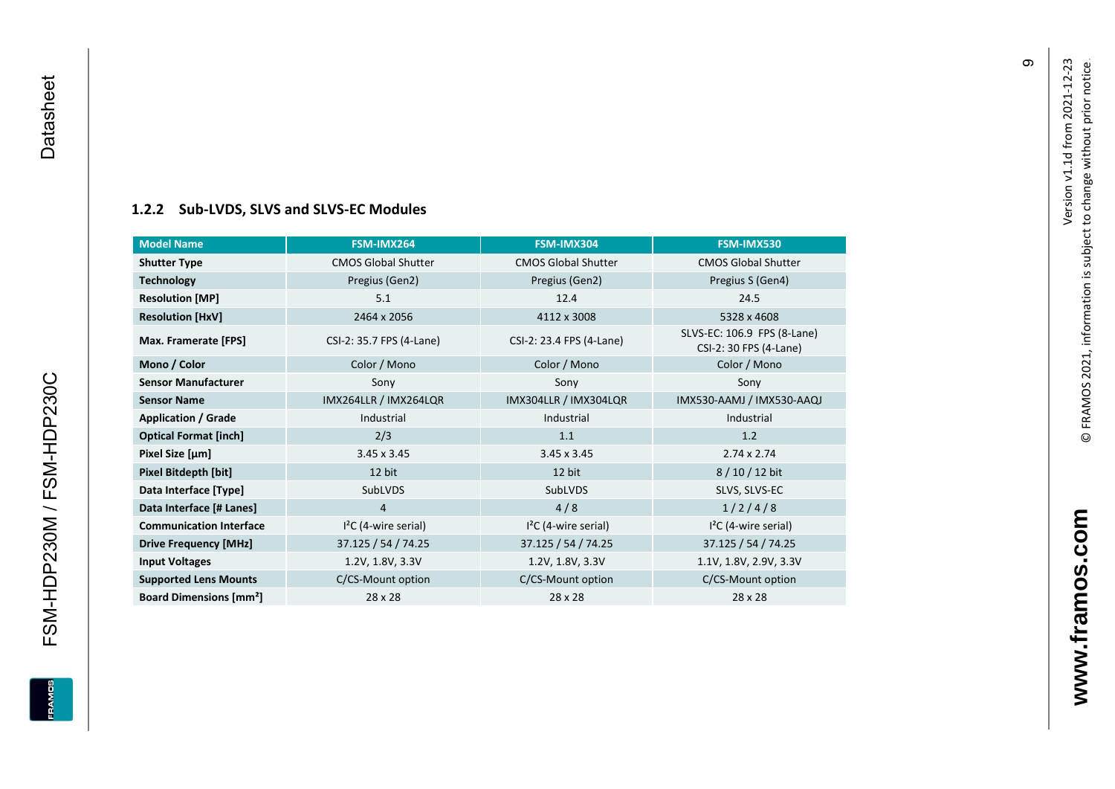# **[1.2.2](#page-0-7) Sub -LVDS, SLVS and SLVS -EC Modules**

<span id="page-10-0"></span>

| <b>Model Name</b>                        | FSM-IMX264                 | FSM-IMX304                 | FSM-IMX530                                            |
|------------------------------------------|----------------------------|----------------------------|-------------------------------------------------------|
| <b>Shutter Type</b>                      | <b>CMOS Global Shutter</b> | <b>CMOS Global Shutter</b> | <b>CMOS Global Shutter</b>                            |
| <b>Technology</b>                        | Pregius (Gen2)             | Pregius (Gen2)             | Pregius S (Gen4)                                      |
| <b>Resolution [MP]</b>                   | 5.1                        | 12.4                       | 24.5                                                  |
| <b>Resolution [HxV]</b>                  | 2464 x 2056                | 4112 x 3008                | 5328 x 4608                                           |
| Max. Framerate [FPS]                     | CSI-2: 35.7 FPS (4-Lane)   | CSI-2: 23.4 FPS (4-Lane)   | SLVS-EC: 106.9 FPS (8-Lane)<br>CSI-2: 30 FPS (4-Lane) |
| Mono / Color                             | Color / Mono               | Color / Mono               | Color / Mono                                          |
| <b>Sensor Manufacturer</b>               | Sony                       | Sony                       | Sony                                                  |
| <b>Sensor Name</b>                       | IMX264LLR / IMX264LQR      | IMX304LLR / IMX304LQR      | IMX530-AAMJ / IMX530-AAQJ                             |
| <b>Application / Grade</b>               | Industrial                 | Industrial                 | Industrial                                            |
| <b>Optical Format [inch]</b>             | 2/3                        | 1.1                        | 1.2                                                   |
| Pixel Size [µm]                          | $3.45 \times 3.45$         | $3.45 \times 3.45$         | $2.74 \times 2.74$                                    |
| <b>Pixel Bitdepth [bit]</b>              | 12 bit                     | 12 bit                     | 8 / 10 / 12 bit                                       |
| Data Interface [Type]                    | SubLVDS                    | SubLVDS                    | SLVS, SLVS-EC                                         |
| Data Interface [# Lanes]                 | 4                          | 4/8                        | 1/2/4/8                                               |
| <b>Communication Interface</b>           | $I2C$ (4-wire serial)      | $I2C$ (4-wire serial)      | $I2C$ (4-wire serial)                                 |
| <b>Drive Frequency [MHz]</b>             | 37.125 / 54 / 74.25        | 37.125 / 54 / 74.25        | 37.125 / 54 / 74.25                                   |
| <b>Input Voltages</b>                    | 1.2V, 1.8V, 3.3V           | 1.2V, 1.8V, 3.3V           | 1.1V, 1.8V, 2.9V, 3.3V                                |
| <b>Supported Lens Mounts</b>             | C/CS-Mount option          | C/CS-Mount option          | C/CS-Mount option                                     |
| <b>Board Dimensions [mm<sup>2</sup>]</b> | 28 x 28                    | 28 x 28                    | 28 x 28                                               |

თ

© FRAMOS 2021, information i[s su](mailto:sales@framos.de)bject to change without prior notice.

© FRAMOS 2021, information is subject to change without prior notice.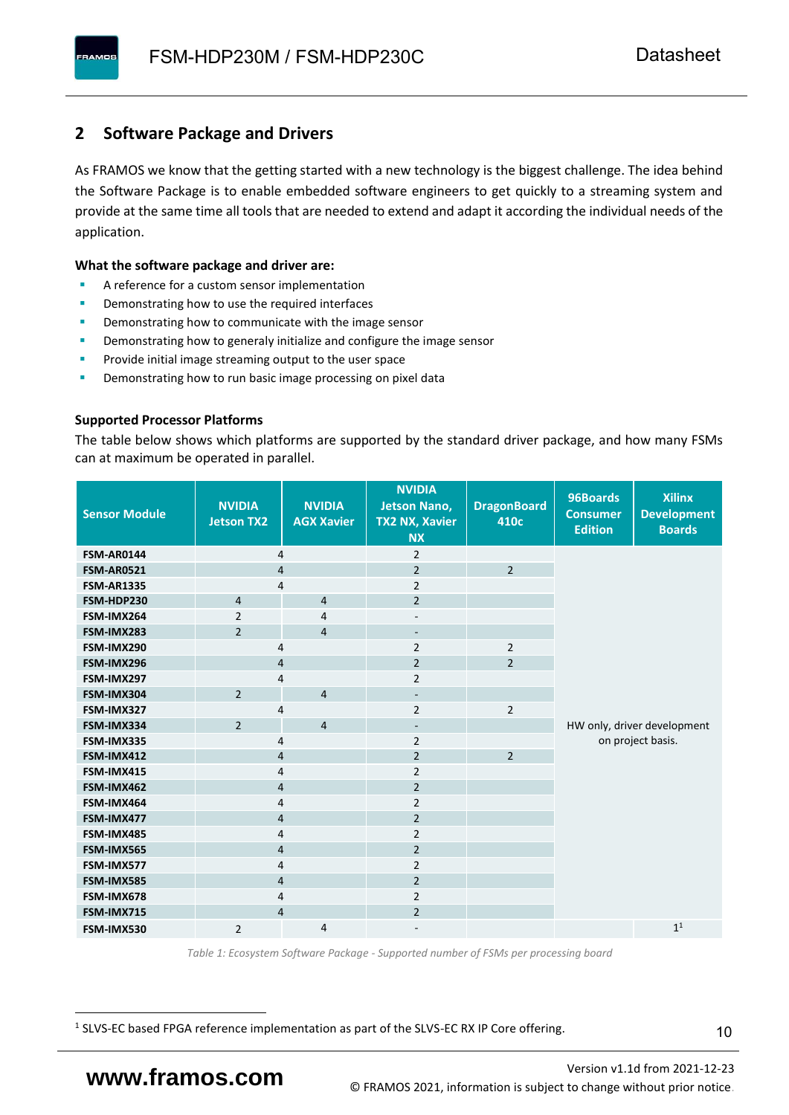### <span id="page-11-0"></span>**2 Software Package and Drivers**

As FRAMOS we know that the getting started with a new technology is the biggest challenge. The idea behind the Software Package is to enable embedded software engineers to get quickly to a streaming system and provide at the same time all tools that are needed to extend and adapt it according the individual needs of the application.

#### **What the software package and driver are:**

- A reference for a custom sensor implementation
- Demonstrating how to use the required interfaces
- Demonstrating how to communicate with the image sensor
- Demonstrating how to generaly initialize and configure the image sensor
- Provide initial image streaming output to the user space
- Demonstrating how to run basic image processing on pixel data

#### **Supported Processor Platforms**

The table below shows which platforms are supported by the standard driver package, and how many FSMs can at maximum be operated in parallel.

| <b>Sensor Module</b> | <b>NVIDIA</b><br><b>Jetson TX2</b> | <b>NVIDIA</b><br><b>AGX Xavier</b> | <b>NVIDIA</b><br><b>Jetson Nano,</b><br><b>TX2 NX, Xavier</b><br><b>NX</b> | <b>DragonBoard</b><br>410c | 96Boards<br><b>Consumer</b><br><b>Edition</b> | <b>Xilinx</b><br><b>Development</b><br><b>Boards</b> |  |
|----------------------|------------------------------------|------------------------------------|----------------------------------------------------------------------------|----------------------------|-----------------------------------------------|------------------------------------------------------|--|
| <b>FSM-AR0144</b>    | 4                                  |                                    | $\overline{2}$                                                             |                            |                                               |                                                      |  |
| <b>FSM-AR0521</b>    | $\overline{4}$                     |                                    | $\overline{2}$                                                             | $\overline{2}$             |                                               |                                                      |  |
| <b>FSM-AR1335</b>    | 4                                  |                                    | $\overline{2}$                                                             |                            |                                               |                                                      |  |
| FSM-HDP230           | $\overline{4}$                     | $\overline{4}$                     | $\overline{2}$                                                             |                            |                                               |                                                      |  |
| FSM-IMX264           | $\overline{2}$                     | $\overline{4}$                     | $\overline{\phantom{a}}$                                                   |                            |                                               |                                                      |  |
| FSM-IMX283           | $\overline{2}$                     | $\overline{4}$                     | $\overline{\phantom{a}}$                                                   |                            |                                               |                                                      |  |
| FSM-IMX290           | 4                                  |                                    | $\overline{2}$                                                             | $\overline{2}$             |                                               |                                                      |  |
| FSM-IMX296           | 4                                  |                                    | $\overline{2}$                                                             | $\overline{2}$             |                                               |                                                      |  |
| FSM-IMX297           | 4                                  |                                    | $\overline{2}$                                                             |                            |                                               |                                                      |  |
| FSM-IMX304           | $\overline{2}$                     | $\overline{4}$                     | $\overline{\phantom{a}}$                                                   |                            |                                               |                                                      |  |
| FSM-IMX327           | 4                                  |                                    | $\overline{2}$                                                             | $\overline{2}$             |                                               |                                                      |  |
| FSM-IMX334           | $\overline{2}$                     | $\overline{4}$                     | $\overline{\phantom{a}}$                                                   |                            |                                               | HW only, driver development                          |  |
| FSM-IMX335           | 4                                  |                                    | $\overline{2}$                                                             |                            |                                               | on project basis.                                    |  |
| FSM-IMX412           | $\overline{4}$                     |                                    | $\overline{2}$                                                             | $\overline{2}$             |                                               |                                                      |  |
| FSM-IMX415           | 4                                  |                                    | $\overline{2}$                                                             |                            |                                               |                                                      |  |
| FSM-IMX462           | $\overline{\mathbf{4}}$            |                                    | $\overline{2}$                                                             |                            |                                               |                                                      |  |
| FSM-IMX464           | $\overline{4}$                     |                                    | $\overline{2}$                                                             |                            |                                               |                                                      |  |
| FSM-IMX477           | $\overline{4}$                     |                                    | $\overline{2}$                                                             |                            |                                               |                                                      |  |
| FSM-IMX485           | $\overline{4}$                     |                                    | $\overline{2}$                                                             |                            |                                               |                                                      |  |
| FSM-IMX565           | $\overline{4}$                     |                                    | $\overline{2}$                                                             |                            |                                               |                                                      |  |
| FSM-IMX577           | $\overline{4}$                     |                                    | $\overline{2}$                                                             |                            |                                               |                                                      |  |
| FSM-IMX585           | $\overline{4}$                     |                                    | $\overline{2}$                                                             |                            |                                               |                                                      |  |
| FSM-IMX678           | 4                                  |                                    | $\overline{2}$                                                             |                            |                                               |                                                      |  |
| FSM-IMX715           | $\overline{4}$                     |                                    | $\overline{2}$                                                             |                            |                                               |                                                      |  |
| FSM-IMX530           | $\overline{2}$                     | $\overline{4}$                     |                                                                            |                            |                                               | 1 <sup>1</sup>                                       |  |

*Table 1: Ecosystem Software Package - Supported number of FSMs per processing board*

<sup>1</sup> SLVS-EC based FPGA reference implementation as part of the SLVS-EC RX IP Core offering.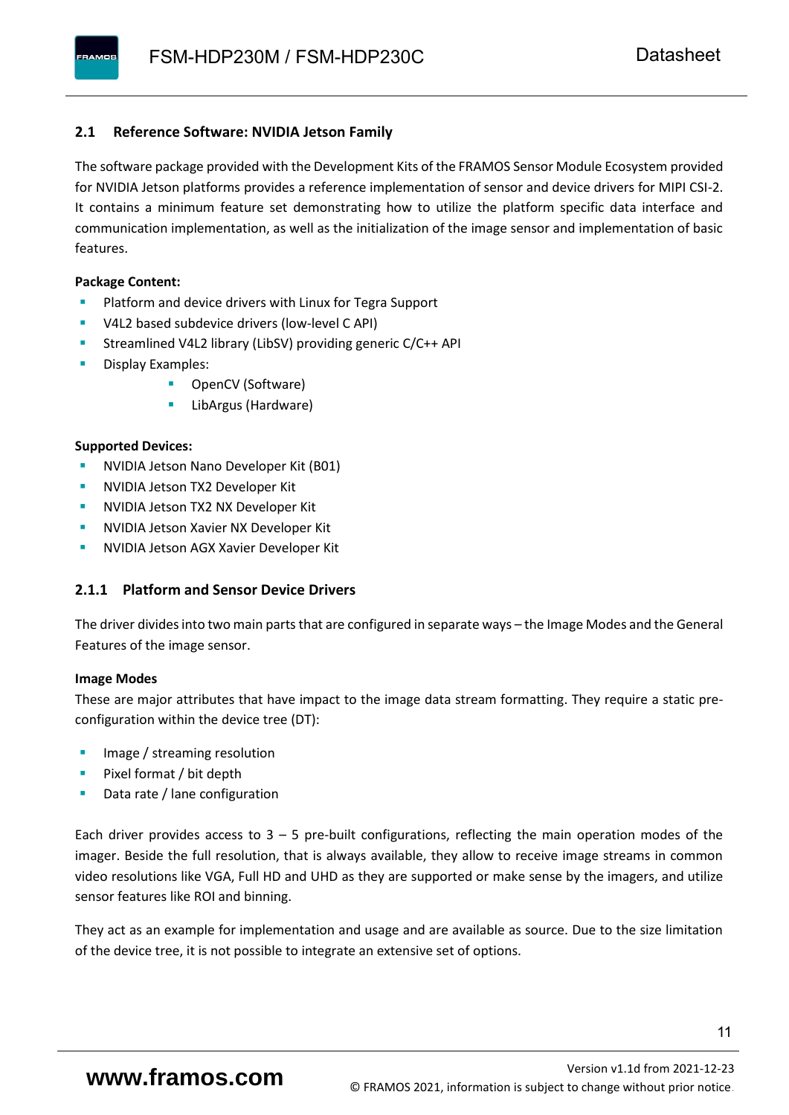#### <span id="page-12-0"></span>**2.1 Reference Software: NVIDIA Jetson Family**

The software package provided with the Development Kits of the FRAMOS Sensor Module Ecosystem provided for NVIDIA Jetson platforms provides a reference implementation of sensor and device drivers for MIPI CSI-2. It contains a minimum feature set demonstrating how to utilize the platform specific data interface and communication implementation, as well as the initialization of the image sensor and implementation of basic features.

#### **Package Content:**

- Platform and device drivers with Linux for Tegra Support
- V4L2 based subdevice drivers (low-level C API)
- Streamlined V4L2 library (LibSV) providing generic C/C++ API
- Display Examples:
	- OpenCV (Software)
	- LibArgus (Hardware)

#### **Supported Devices:**

- **NVIDIA Jetson Nano Developer Kit (B01)**
- **NVIDIA Jetson TX2 Developer Kit**
- NVIDIA Jetson TX2 NX Developer Kit
- **NVIDIA Jetson Xavier NX Developer Kit**
- **NVIDIA Jetson AGX Xavier Developer Kit**

#### <span id="page-12-1"></span>**2.1.1 Platform and Sensor Device Drivers**

The driver divides into two main parts that are configured in separate ways – the Image Modes and the General Features of the image sensor.

#### **Image Modes**

These are major attributes that have impact to the image data stream formatting. They require a static preconfiguration within the device tree (DT):

- Image / streaming resolution
- Pixel format / bit depth
- Data rate / lane configuration

Each driver provides access to  $3 - 5$  pre-built configurations, reflecting the main operation modes of the imager. Beside the full resolution, that is always available, they allow to receive image streams in common video resolutions like VGA, Full HD and UHD as they are supported or make sense by the imagers, and utilize sensor features like ROI and binning.

They act as an example for implementation and usage and are available as source. Due to the size limitation of the device tree, it is not possible to integrate an extensive set of options.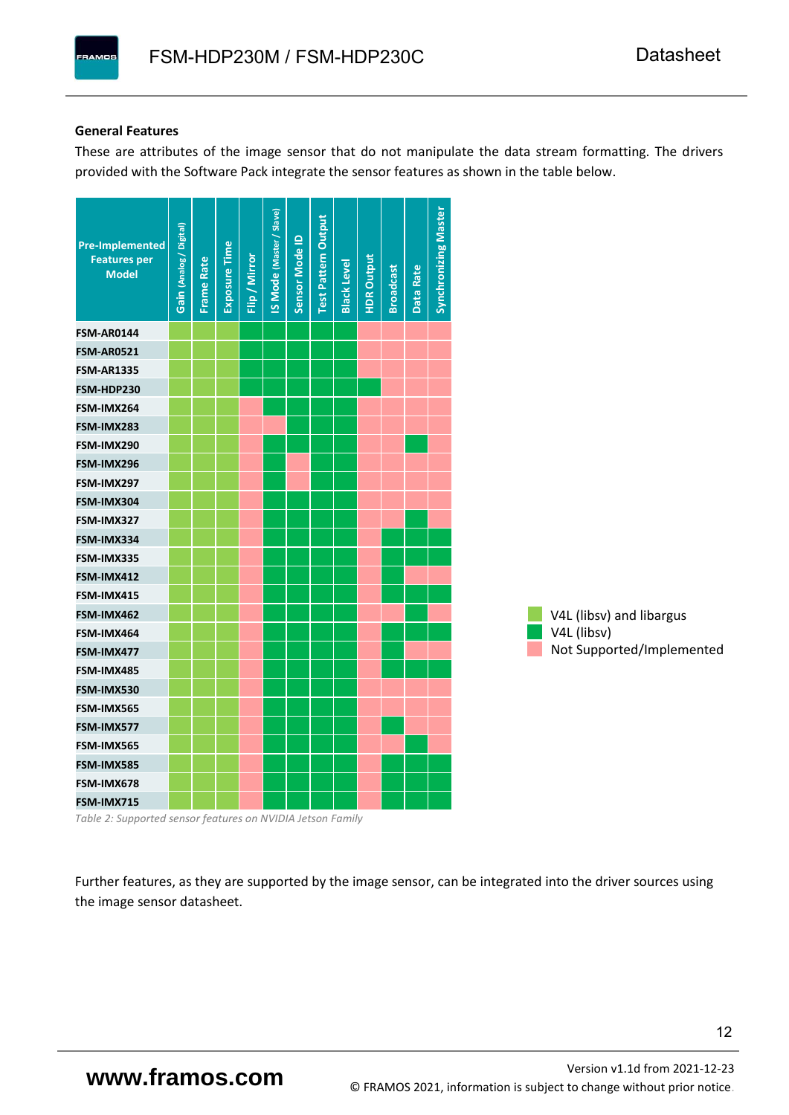#### **General Features**

**PAMOS** 

These are attributes of the image sensor that do not manipulate the data stream formatting. The drivers provided with the Software Pack integrate the sensor features as shown in the table below.



*Table 2: Supported sensor features on NVIDIA Jetson Family*

Further features, as they are supported by the image sensor, can be integrated into the driver sources using the image sensor datasheet.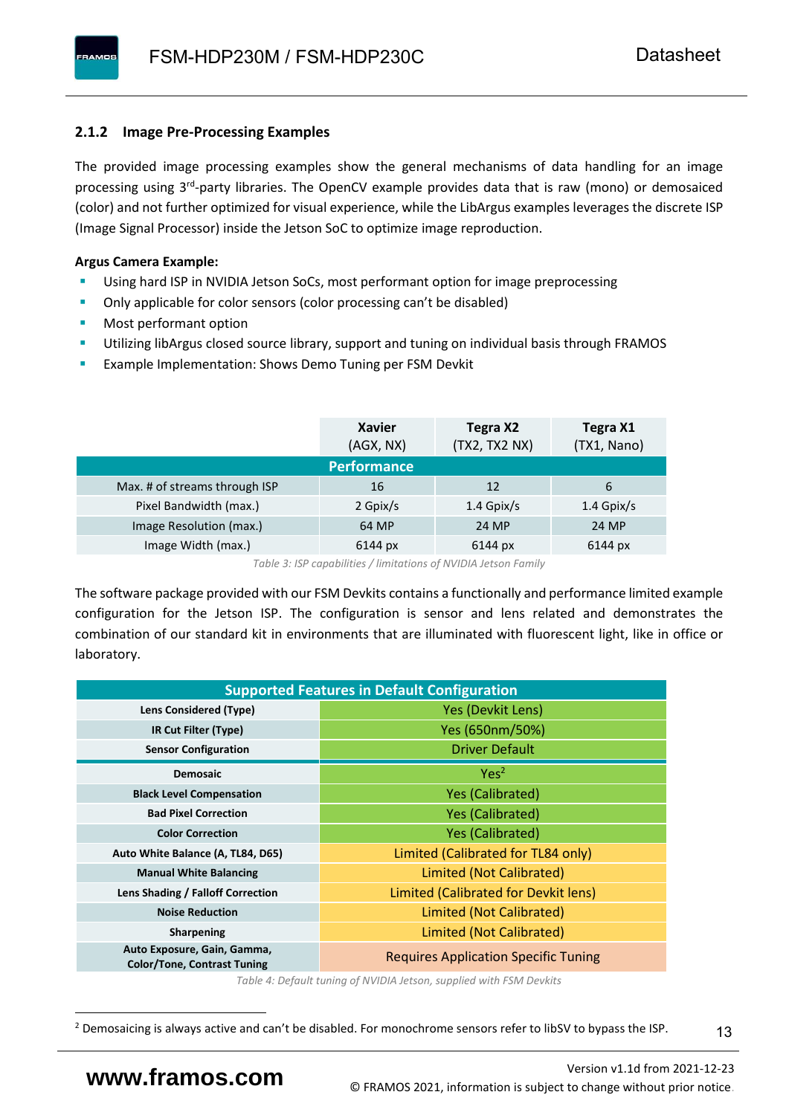#### <span id="page-14-0"></span>**2.1.2 Image Pre-Processing Examples**

The provided image processing examples show the general mechanisms of data handling for an image processing using 3<sup>rd</sup>-party libraries. The OpenCV example provides data that is raw (mono) or demosaiced (color) and not further optimized for visual experience, while the LibArgus examples leverages the discrete ISP (Image Signal Processor) inside the Jetson SoC to optimize image reproduction.

#### **Argus Camera Example:**

- Using hard ISP in NVIDIA Jetson SoCs, most performant option for image preprocessing
- Only applicable for color sensors (color processing can't be disabled)
- Most performant option
- Utilizing libArgus closed source library, support and tuning on individual basis through FRAMOS
- Example Implementation: Shows Demo Tuning per FSM Devkit

|                               | <b>Xavier</b><br>(AGX, NX) | Tegra X2<br>(TX2, TX2 NX) | Tegra X1<br>(TX1, Nano) |
|-------------------------------|----------------------------|---------------------------|-------------------------|
|                               | <b>Performance</b>         |                           |                         |
| Max. # of streams through ISP | 16                         | 12                        | 6                       |
| Pixel Bandwidth (max.)        | 2 Gpix/s                   | $1.4$ Gpix/s              | $1.4$ Gpix/s            |
| Image Resolution (max.)       | 64 MP                      | 24 MP                     | 24 MP                   |
| Image Width (max.)            | 6144 px                    | 6144 px                   | 6144 px                 |

*Table 3: ISP capabilities / limitations of NVIDIA Jetson Family*

The software package provided with our FSM Devkits contains a functionally and performance limited example configuration for the Jetson ISP. The configuration is sensor and lens related and demonstrates the combination of our standard kit in environments that are illuminated with fluorescent light, like in office or laboratory.

|                                                                   | <b>Supported Features in Default Configuration</b> |
|-------------------------------------------------------------------|----------------------------------------------------|
| <b>Lens Considered (Type)</b>                                     | Yes (Devkit Lens)                                  |
| IR Cut Filter (Type)                                              | Yes (650nm/50%)                                    |
| <b>Sensor Configuration</b>                                       | <b>Driver Default</b>                              |
| <b>Demosaic</b>                                                   | Yes <sup>2</sup>                                   |
| <b>Black Level Compensation</b>                                   | <b>Yes (Calibrated)</b>                            |
| <b>Bad Pixel Correction</b>                                       | Yes (Calibrated)                                   |
| <b>Color Correction</b>                                           | <b>Yes (Calibrated)</b>                            |
| Auto White Balance (A, TL84, D65)                                 | Limited (Calibrated for TL84 only)                 |
| <b>Manual White Balancing</b>                                     | Limited (Not Calibrated)                           |
| Lens Shading / Falloff Correction                                 | Limited (Calibrated for Devkit lens)               |
| <b>Noise Reduction</b>                                            | Limited (Not Calibrated)                           |
| <b>Sharpening</b>                                                 | Limited (Not Calibrated)                           |
| Auto Exposure, Gain, Gamma,<br><b>Color/Tone, Contrast Tuning</b> | <b>Requires Application Specific Tuning</b>        |

*Table 4: Default tuning of NVIDIA Jetson, supplied with FSM Devkits*

13

<sup>&</sup>lt;sup>2</sup> Demosaicing is always active and can't be disabled. For monochrome sensors refer to libSV to bypass the ISP.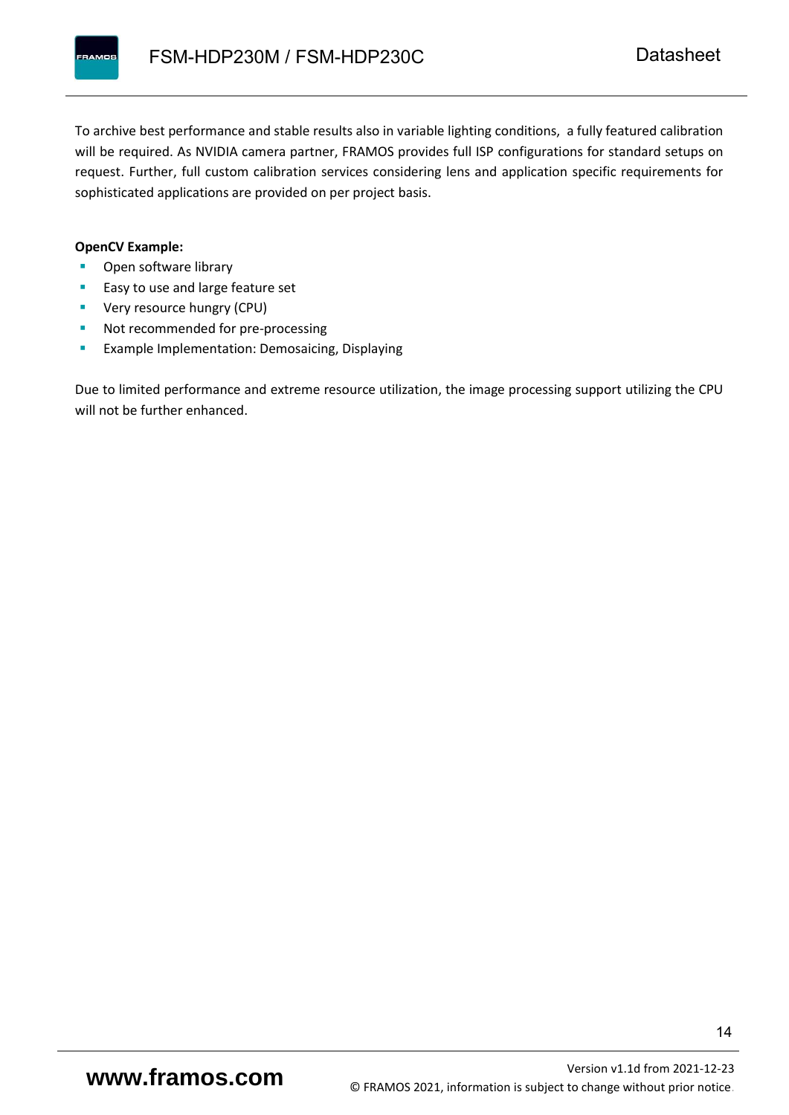To archive best performance and stable results also in variable lighting conditions, a fully featured calibration will be required. As NVIDIA camera partner, FRAMOS provides full ISP configurations for standard setups on request. Further, full custom calibration services considering lens and application specific requirements for sophisticated applications are provided on per project basis.

#### **OpenCV Example:**

- Open software library
- Easy to use and large feature set
- **•** Very resource hungry (CPU)
- Not recommended for pre-processing
- **Example Implementation: Demosaicing, Displaying**

Due to limited performance and extreme resource utilization, the image processing support utilizing the CPU will not be further enhanced.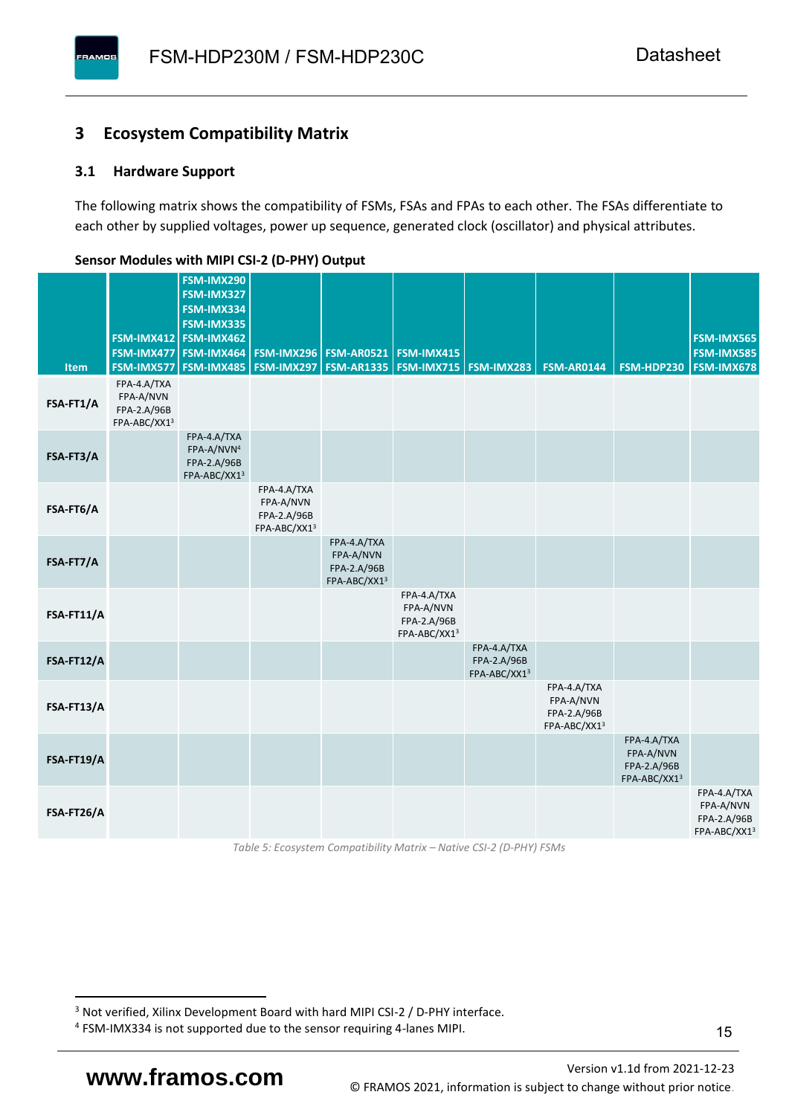### <span id="page-16-0"></span>**3 Ecosystem Compatibility Matrix**

#### <span id="page-16-1"></span>**3.1 Hardware Support**

**PAMOS** 

The following matrix shows the compatibility of FSMs, FSAs and FPAs to each other. The FSAs differentiate to each other by supplied voltages, power up sequence, generated clock (oscillator) and physical attributes.

|            |                                                         | FSM-IMX290<br>FSM-IMX327                                             |                                                         |                                                                  |                                                         |                                            |                                                         |                                                         |                                                         |
|------------|---------------------------------------------------------|----------------------------------------------------------------------|---------------------------------------------------------|------------------------------------------------------------------|---------------------------------------------------------|--------------------------------------------|---------------------------------------------------------|---------------------------------------------------------|---------------------------------------------------------|
|            |                                                         | FSM-IMX334<br>FSM-IMX335                                             |                                                         |                                                                  |                                                         |                                            |                                                         |                                                         |                                                         |
|            |                                                         | FSM-IMX412 FSM-IMX462                                                |                                                         |                                                                  |                                                         |                                            |                                                         |                                                         | <b>FSM-IMX565</b>                                       |
| Item       | FSM-IMX577                                              | FSM-IMX477 FSM-IMX464<br>FSM-IMX485                                  |                                                         | <b>FSM-IMX296 FSM-AR0521</b><br><b>FSM-IMX297   FSM-AR1335  </b> | <b>FSM-IMX415</b><br><b>FSM-IMX715   FSM-IMX283</b>     |                                            | <b>FSM-AR0144</b>                                       | FSM-HDP230                                              | <b>FSM-IMX585</b><br><b>FSM-IMX678</b>                  |
| FSA-FT1/A  | FPA-4.A/TXA<br>FPA-A/NVN<br>FPA-2.A/96B<br>FPA-ABC/XX13 |                                                                      |                                                         |                                                                  |                                                         |                                            |                                                         |                                                         |                                                         |
| FSA-FT3/A  |                                                         | FPA-4.A/TXA<br>FPA-A/NVN <sup>4</sup><br>FPA-2.A/96B<br>FPA-ABC/XX13 |                                                         |                                                                  |                                                         |                                            |                                                         |                                                         |                                                         |
| FSA-FT6/A  |                                                         |                                                                      | FPA-4.A/TXA<br>FPA-A/NVN<br>FPA-2.A/96B<br>FPA-ABC/XX13 |                                                                  |                                                         |                                            |                                                         |                                                         |                                                         |
| FSA-FT7/A  |                                                         |                                                                      |                                                         | FPA-4.A/TXA<br>FPA-A/NVN<br>FPA-2.A/96B<br>FPA-ABC/XX13          |                                                         |                                            |                                                         |                                                         |                                                         |
| FSA-FT11/A |                                                         |                                                                      |                                                         |                                                                  | FPA-4.A/TXA<br>FPA-A/NVN<br>FPA-2.A/96B<br>FPA-ABC/XX13 |                                            |                                                         |                                                         |                                                         |
| FSA-FT12/A |                                                         |                                                                      |                                                         |                                                                  |                                                         | FPA-4.A/TXA<br>FPA-2.A/96B<br>FPA-ABC/XX13 |                                                         |                                                         |                                                         |
| FSA-FT13/A |                                                         |                                                                      |                                                         |                                                                  |                                                         |                                            | FPA-4.A/TXA<br>FPA-A/NVN<br>FPA-2.A/96B<br>FPA-ABC/XX13 |                                                         |                                                         |
| FSA-FT19/A |                                                         |                                                                      |                                                         |                                                                  |                                                         |                                            |                                                         | FPA-4.A/TXA<br>FPA-A/NVN<br>FPA-2.A/96B<br>FPA-ABC/XX13 |                                                         |
| FSA-FT26/A |                                                         |                                                                      |                                                         |                                                                  |                                                         |                                            |                                                         |                                                         | FPA-4.A/TXA<br>FPA-A/NVN<br>FPA-2.A/96B<br>FPA-ABC/XX13 |

#### <span id="page-16-2"></span>**Sensor Modules with MIPI CSI-2 (D-PHY) Output**

*Table 5: Ecosystem Compatibility Matrix – Native CSI-2 (D-PHY) FSMs*

<sup>&</sup>lt;sup>3</sup> Not verified, Xilinx Development Board with hard MIPI CSI-2 / D-PHY interface.

<sup>4</sup> FSM-IMX334 is not supported due to the sensor requiring 4-lanes MIPI.